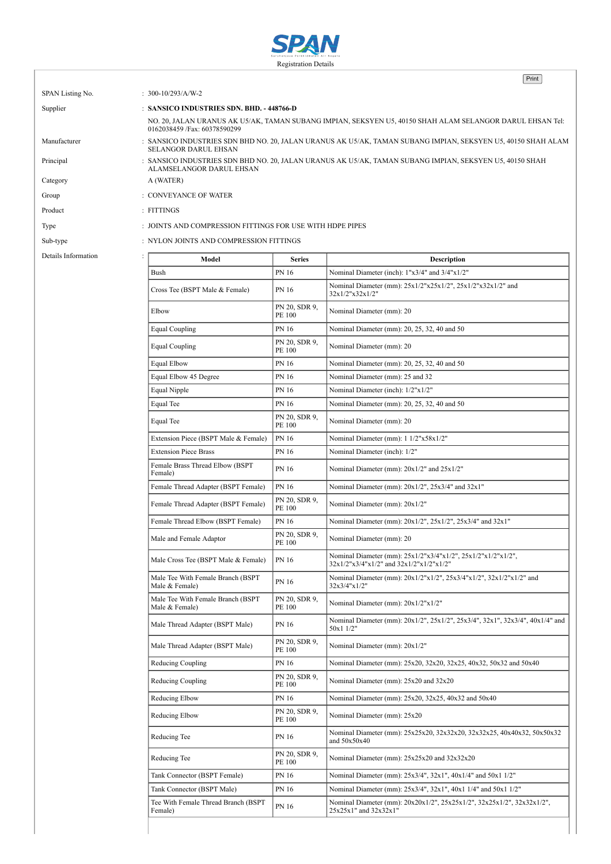

Print

| SPAN Listing No.    | : $300-10/293/A/W-2$                                                                                                                        |                                |                                                                                |  |  |
|---------------------|---------------------------------------------------------------------------------------------------------------------------------------------|--------------------------------|--------------------------------------------------------------------------------|--|--|
| Supplier            | : SANSICO INDUSTRIES SDN. BHD. - 448766-D                                                                                                   |                                |                                                                                |  |  |
|                     | NO. 20, JALAN URANUS AK U5/AK, TAMAN SUBANG IMPIAN, SEKSYEN U5, 40150 SHAH ALAM SELANGOR DARUL EHSAN Tel:<br>0162038459 /Fax: 60378590299   |                                |                                                                                |  |  |
| Manufacturer        | : SANSICO INDUSTRIES SDN BHD NO. 20, JALAN URANUS AK U5/AK, TAMAN SUBANG IMPIAN, SEKSYEN U5, 40150 SHAH ALAM<br><b>SELANGOR DARUL EHSAN</b> |                                |                                                                                |  |  |
| Principal           | : SANSICO INDUSTRIES SDN BHD NO. 20, JALAN URANUS AK U5/AK, TAMAN SUBANG IMPIAN, SEKSYEN U5, 40150 SHAH<br>ALAMSELANGOR DARUL EHSAN         |                                |                                                                                |  |  |
| Category            | A (WATER)                                                                                                                                   |                                |                                                                                |  |  |
| Group               | : CONVEYANCE OF WATER                                                                                                                       |                                |                                                                                |  |  |
| Product             | $:$ FITTINGS                                                                                                                                |                                |                                                                                |  |  |
| Type                | : JOINTS AND COMPRESSION FITTINGS FOR USE WITH HDPE PIPES                                                                                   |                                |                                                                                |  |  |
|                     |                                                                                                                                             |                                |                                                                                |  |  |
| Sub-type            | : NYLON JOINTS AND COMPRESSION FITTINGS                                                                                                     |                                |                                                                                |  |  |
| Details Information | Model                                                                                                                                       | <b>Series</b>                  | <b>Description</b>                                                             |  |  |
|                     | Bush                                                                                                                                        | <b>PN 16</b>                   | Nominal Diameter (inch): 1"x3/4" and 3/4"x1/2"                                 |  |  |
|                     | Cross Tee (BSPT Male & Female)                                                                                                              | PN 16                          | Nominal Diameter (mm): 25x1/2"x25x1/2", 25x1/2"x32x1/2" and<br>32x1/2"x32x1/2" |  |  |
|                     | Elbow                                                                                                                                       | PN 20, SDR 9,<br>PE 100        | Nominal Diameter (mm): 20                                                      |  |  |
|                     | Equal Coupling                                                                                                                              | <b>PN 16</b>                   | Nominal Diameter (mm): 20, 25, 32, 40 and 50                                   |  |  |
|                     | <b>Equal Coupling</b>                                                                                                                       | PN 20, SDR 9,<br><b>PE 100</b> | Nominal Diameter (mm): 20                                                      |  |  |
|                     | <b>Equal Elbow</b>                                                                                                                          | <b>PN 16</b>                   | Nominal Diameter (mm): 20, 25, 32, 40 and 50                                   |  |  |

| тимп                                                | <b>FIN 10</b>           | <b>NOTHING</b> DIAMETER (HIGH). I $\lambda$ 3/4 and 3/4 $\lambda$ 1/2                                   |  |
|-----------------------------------------------------|-------------------------|---------------------------------------------------------------------------------------------------------|--|
| Cross Tee (BSPT Male & Female)                      | PN 16                   | Nominal Diameter (mm): 25x1/2"x25x1/2", 25x1/2"x32x1/2" and<br>32x1/2"x32x1/2"                          |  |
| Elbow                                               | PN 20, SDR 9,<br>PE 100 | Nominal Diameter (mm): 20                                                                               |  |
| <b>Equal Coupling</b>                               | PN 16                   | Nominal Diameter (mm): 20, 25, 32, 40 and 50                                                            |  |
| <b>Equal Coupling</b>                               | PN 20, SDR 9,<br>PE 100 | Nominal Diameter (mm): 20                                                                               |  |
| Equal Elbow                                         | PN 16                   | Nominal Diameter (mm): 20, 25, 32, 40 and 50                                                            |  |
| Equal Elbow 45 Degree                               | PN 16                   | Nominal Diameter (mm): 25 and 32                                                                        |  |
| Equal Nipple                                        | PN 16                   | Nominal Diameter (inch): 1/2"x1/2"                                                                      |  |
| Equal Tee                                           | PN 16                   | Nominal Diameter (mm): 20, 25, 32, 40 and 50                                                            |  |
| Equal Tee                                           | PN 20, SDR 9,<br>PE 100 | Nominal Diameter (mm): 20                                                                               |  |
| Extension Piece (BSPT Male & Female)                | PN 16                   | Nominal Diameter (mm): 1 1/2"x58x1/2"                                                                   |  |
| <b>Extension Piece Brass</b>                        | PN 16                   | Nominal Diameter (inch): 1/2"                                                                           |  |
| Female Brass Thread Elbow (BSPT<br>Female)          | PN 16                   | Nominal Diameter (mm): 20x1/2" and 25x1/2"                                                              |  |
| Female Thread Adapter (BSPT Female)                 | <b>PN 16</b>            | Nominal Diameter (mm): 20x1/2", 25x3/4" and 32x1"                                                       |  |
| Female Thread Adapter (BSPT Female)                 | PN 20, SDR 9,<br>PE 100 | Nominal Diameter (mm): 20x1/2"                                                                          |  |
| Female Thread Elbow (BSPT Female)                   | PN 16                   | Nominal Diameter (mm): 20x1/2", 25x1/2", 25x3/4" and 32x1"                                              |  |
| Male and Female Adaptor                             | PN 20, SDR 9,<br>PE 100 | Nominal Diameter (mm): 20                                                                               |  |
| Male Cross Tee (BSPT Male & Female)                 | PN 16                   | Nominal Diameter (mm): 25x1/2"x3/4"x1/2", 25x1/2"x1/2"x1/2",<br>32x1/2"x3/4"x1/2" and 32x1/2"x1/2"x1/2" |  |
| Male Tee With Female Branch (BSPT<br>Male & Female) | PN 16                   | Nominal Diameter (mm): 20x1/2"x1/2", 25x3/4"x1/2", 32x1/2"x1/2" and<br>32x3/4"x1/2"                     |  |
| Male Tee With Female Branch (BSPT<br>Male & Female) | PN 20, SDR 9,<br>PE 100 | Nominal Diameter (mm): 20x1/2"x1/2"                                                                     |  |
| Male Thread Adapter (BSPT Male)                     | PN 16                   | Nominal Diameter (mm): 20x1/2", 25x1/2", 25x3/4", 32x1", 32x3/4", 40x1/4" and<br>50x1 1/2"              |  |
| Male Thread Adapter (BSPT Male)                     | PN 20, SDR 9,<br>PE 100 | Nominal Diameter (mm): 20x1/2"                                                                          |  |
| Reducing Coupling                                   | PN 16                   | Nominal Diameter (mm): 25x20, 32x20, 32x25, 40x32, 50x32 and 50x40                                      |  |
| Reducing Coupling                                   | PN 20, SDR 9,<br>PE 100 | Nominal Diameter (mm): 25x20 and 32x20                                                                  |  |
| Reducing Elbow                                      | PN 16                   | Nominal Diameter (mm): 25x20, 32x25, 40x32 and 50x40                                                    |  |
| Reducing Elbow                                      | PN 20, SDR 9,<br>PE 100 | Nominal Diameter (mm): 25x20                                                                            |  |
| Reducing Tee                                        | PN 16                   | Nominal Diameter (mm): 25x25x20, 32x32x20, 32x32x25, 40x40x32, 50x50x32<br>and $50x50x40$               |  |
| Reducing Tee                                        | PN 20, SDR 9,<br>PE 100 | Nominal Diameter (mm): 25x25x20 and 32x32x20                                                            |  |
| Tank Connector (BSPT Female)                        | PN 16                   | Nominal Diameter (mm): 25x3/4", 32x1", 40x1/4" and 50x1 1/2"                                            |  |
| Tank Connector (BSPT Male)                          | PN 16                   | Nominal Diameter (mm): 25x3/4", 32x1", 40x1 1/4" and 50x1 1/2"                                          |  |
| Tee With Female Thread Branch (BSPT                 | PN 16                   | Nominal Diameter (mm): 20x20x1/2", 25x25x1/2", 32x25x1/2", 32x32x1/2",<br>25x25x1" and 32x32x1"         |  |